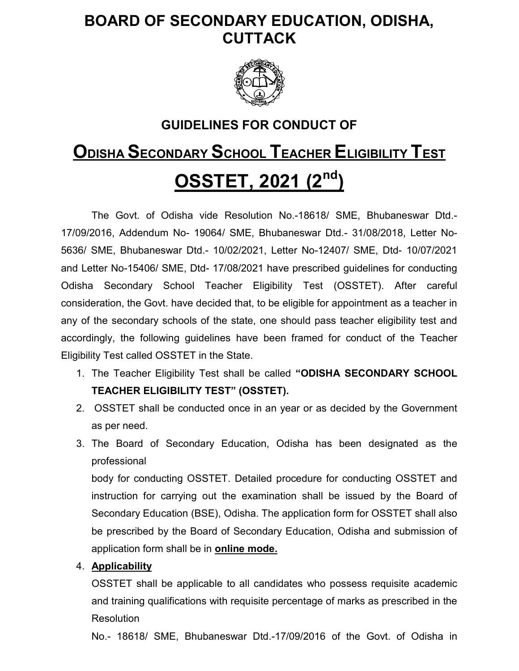# BOARD OF SECONDARY EDUCATION, ODISHA, CUTTACK



# GUIDELINES FOR CONDUCT OF

# ODISHA SECONDARY SCHOOL TEACHER ELIGIBILITY TEST **OSSTET, 2021 (2<sup>nd</sup>)**

 The Govt. of Odisha vide Resolution No.-18618/ SME, Bhubaneswar Dtd.- 17/09/2016, Addendum No- 19064/ SME, Bhubaneswar Dtd.- 31/08/2018, Letter No-5636/ SME, Bhubaneswar Dtd.- 10/02/2021, Letter No-12407/ SME, Dtd- 10/07/2021 and Letter No-15406/ SME, Dtd- 17/08/2021 have prescribed guidelines for conducting Odisha Secondary School Teacher Eligibility Test (OSSTET). After careful consideration, the Govt. have decided that, to be eligible for appointment as a teacher in any of the secondary schools of the state, one should pass teacher eligibility test and accordingly, the following guidelines have been framed for conduct of the Teacher Eligibility Test called OSSTET in the State.

- 1. The Teacher Eligibility Test shall be called "ODISHA SECONDARY SCHOOL TEACHER ELIGIBILITY TEST" (OSSTET).
- 2. OSSTET shall be conducted once in an year or as decided by the Government as per need.
- 3. The Board of Secondary Education, Odisha has been designated as the professional

body for conducting OSSTET. Detailed procedure for conducting OSSTET and instruction for carrying out the examination shall be issued by the Board of Secondary Education (BSE), Odisha. The application form for OSSTET shall also be prescribed by the Board of Secondary Education, Odisha and submission of application form shall be in **online mode.** 

# 4. Applicability

OSSTET shall be applicable to all candidates who possess requisite academic and training qualifications with requisite percentage of marks as prescribed in the Resolution

No.- 18618/ SME, Bhubaneswar Dtd.-17/09/2016 of the Govt. of Odisha in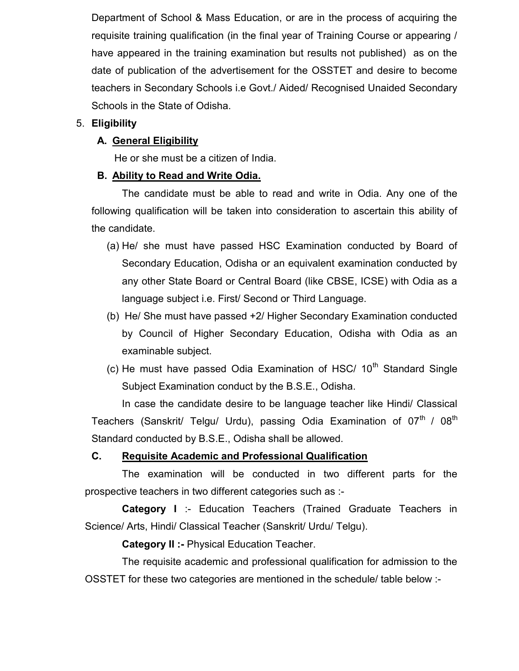Department of School & Mass Education, or are in the process of acquiring the requisite training qualification (in the final year of Training Course or appearing / have appeared in the training examination but results not published) as on the date of publication of the advertisement for the OSSTET and desire to become teachers in Secondary Schools i.e Govt./ Aided/ Recognised Unaided Secondary Schools in the State of Odisha.

# 5. Eligibility

# A. General Eligibility

He or she must be a citizen of India.

# B. Ability to Read and Write Odia.

The candidate must be able to read and write in Odia. Any one of the following qualification will be taken into consideration to ascertain this ability of the candidate.

- (a) He/ she must have passed HSC Examination conducted by Board of Secondary Education, Odisha or an equivalent examination conducted by any other State Board or Central Board (like CBSE, ICSE) with Odia as a language subject i.e. First/ Second or Third Language.
- (b) He/ She must have passed +2/ Higher Secondary Examination conducted by Council of Higher Secondary Education, Odisha with Odia as an examinable subject.
- (c) He must have passed Odia Examination of HSC/  $10<sup>th</sup>$  Standard Single Subject Examination conduct by the B.S.E., Odisha.

In case the candidate desire to be language teacher like Hindi/ Classical Teachers (Sanskrit/ Telgu/ Urdu), passing Odia Examination of 07 $^{\rm th}$  / 08 $^{\rm th}$ Standard conducted by B.S.E., Odisha shall be allowed.

# C. Requisite Academic and Professional Qualification

The examination will be conducted in two different parts for the prospective teachers in two different categories such as :-

Category I :- Education Teachers (Trained Graduate Teachers in Science/ Arts, Hindi/ Classical Teacher (Sanskrit/ Urdu/ Telgu).

**Category II :- Physical Education Teacher.** 

The requisite academic and professional qualification for admission to the OSSTET for these two categories are mentioned in the schedule/ table below :-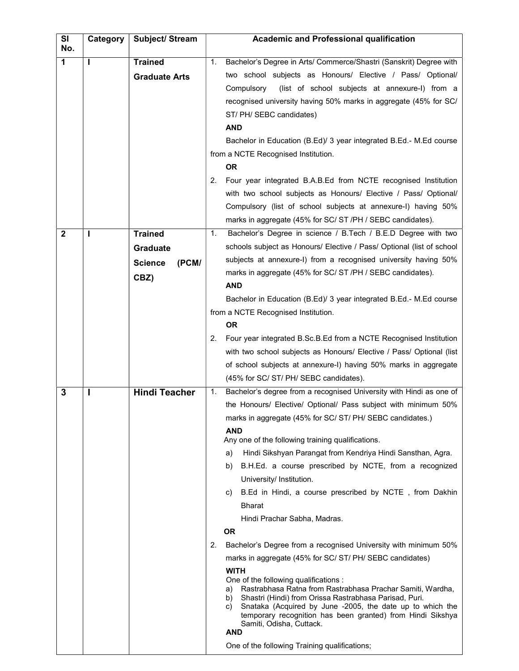| <b>SI</b><br>No. | Category | Subject/ Stream         | <b>Academic and Professional qualification</b>                                                                                                                                                                                                                                                                                                       |  |  |
|------------------|----------|-------------------------|------------------------------------------------------------------------------------------------------------------------------------------------------------------------------------------------------------------------------------------------------------------------------------------------------------------------------------------------------|--|--|
| 1                |          | <b>Trained</b>          | Bachelor's Degree in Arts/ Commerce/Shastri (Sanskrit) Degree with<br>1.                                                                                                                                                                                                                                                                             |  |  |
|                  |          | <b>Graduate Arts</b>    | two school subjects as Honours/ Elective / Pass/ Optional/                                                                                                                                                                                                                                                                                           |  |  |
|                  |          |                         | (list of school subjects at annexure-I) from a<br>Compulsory                                                                                                                                                                                                                                                                                         |  |  |
|                  |          |                         | recognised university having 50% marks in aggregate (45% for SC/                                                                                                                                                                                                                                                                                     |  |  |
|                  |          |                         | ST/ PH/ SEBC candidates)                                                                                                                                                                                                                                                                                                                             |  |  |
|                  |          |                         | <b>AND</b>                                                                                                                                                                                                                                                                                                                                           |  |  |
|                  |          |                         | Bachelor in Education (B.Ed)/ 3 year integrated B.Ed.- M.Ed course                                                                                                                                                                                                                                                                                   |  |  |
|                  |          |                         | from a NCTE Recognised Institution.                                                                                                                                                                                                                                                                                                                  |  |  |
|                  |          |                         | <b>OR</b>                                                                                                                                                                                                                                                                                                                                            |  |  |
|                  |          |                         | 2.<br>Four year integrated B.A.B.Ed from NCTE recognised Institution                                                                                                                                                                                                                                                                                 |  |  |
|                  |          |                         | with two school subjects as Honours/ Elective / Pass/ Optional/                                                                                                                                                                                                                                                                                      |  |  |
|                  |          |                         | Compulsory (list of school subjects at annexure-I) having 50%                                                                                                                                                                                                                                                                                        |  |  |
|                  |          |                         | marks in aggregate (45% for SC/ ST /PH / SEBC candidates).                                                                                                                                                                                                                                                                                           |  |  |
| $\mathbf{2}$     |          | <b>Trained</b>          | Bachelor's Degree in science / B.Tech / B.E.D Degree with two<br>1.                                                                                                                                                                                                                                                                                  |  |  |
|                  |          | Graduate                | schools subject as Honours/ Elective / Pass/ Optional (list of school                                                                                                                                                                                                                                                                                |  |  |
|                  |          | (PCM/<br><b>Science</b> | subjects at annexure-I) from a recognised university having 50%                                                                                                                                                                                                                                                                                      |  |  |
|                  |          | CBZ)                    | marks in aggregate (45% for SC/ ST /PH / SEBC candidates).                                                                                                                                                                                                                                                                                           |  |  |
|                  |          |                         | <b>AND</b>                                                                                                                                                                                                                                                                                                                                           |  |  |
|                  |          |                         | Bachelor in Education (B.Ed)/ 3 year integrated B.Ed.- M.Ed course                                                                                                                                                                                                                                                                                   |  |  |
|                  |          |                         | from a NCTE Recognised Institution.                                                                                                                                                                                                                                                                                                                  |  |  |
|                  |          |                         | <b>OR</b>                                                                                                                                                                                                                                                                                                                                            |  |  |
|                  |          |                         | Four year integrated B.Sc.B.Ed from a NCTE Recognised Institution<br>2.<br>with two school subjects as Honours/ Elective / Pass/ Optional (list                                                                                                                                                                                                      |  |  |
|                  |          |                         | of school subjects at annexure-I) having 50% marks in aggregate                                                                                                                                                                                                                                                                                      |  |  |
|                  |          |                         | (45% for SC/ ST/ PH/ SEBC candidates).                                                                                                                                                                                                                                                                                                               |  |  |
| 3                |          | <b>Hindi Teacher</b>    | Bachelor's degree from a recognised University with Hindi as one of<br>1.                                                                                                                                                                                                                                                                            |  |  |
|                  |          |                         | the Honours/ Elective/ Optional/ Pass subject with minimum 50%                                                                                                                                                                                                                                                                                       |  |  |
|                  |          |                         | marks in aggregate (45% for SC/ ST/ PH/ SEBC candidates.)                                                                                                                                                                                                                                                                                            |  |  |
|                  |          |                         | <b>AND</b>                                                                                                                                                                                                                                                                                                                                           |  |  |
|                  |          |                         | Any one of the following training qualifications.                                                                                                                                                                                                                                                                                                    |  |  |
|                  |          |                         | Hindi Sikshyan Parangat from Kendriya Hindi Sansthan, Agra.<br>a)                                                                                                                                                                                                                                                                                    |  |  |
|                  |          |                         | B.H.Ed. a course prescribed by NCTE, from a recognized<br>b).                                                                                                                                                                                                                                                                                        |  |  |
|                  |          |                         | University/ Institution.<br>B.Ed in Hindi, a course prescribed by NCTE, from Dakhin                                                                                                                                                                                                                                                                  |  |  |
|                  |          |                         | C)                                                                                                                                                                                                                                                                                                                                                   |  |  |
|                  |          |                         | <b>Bharat</b>                                                                                                                                                                                                                                                                                                                                        |  |  |
|                  |          |                         | Hindi Prachar Sabha, Madras.<br><b>OR</b>                                                                                                                                                                                                                                                                                                            |  |  |
|                  |          |                         | Bachelor's Degree from a recognised University with minimum 50%                                                                                                                                                                                                                                                                                      |  |  |
|                  |          |                         | 2.<br>marks in aggregate (45% for SC/ ST/ PH/ SEBC candidates)                                                                                                                                                                                                                                                                                       |  |  |
|                  |          |                         | <b>WITH</b>                                                                                                                                                                                                                                                                                                                                          |  |  |
|                  |          |                         | One of the following qualifications :<br>Rastrabhasa Ratna from Rastrabhasa Prachar Samiti, Wardha,<br>a)<br>Shastri (Hindi) from Orissa Rastrabhasa Parisad, Puri.<br>b)<br>Snataka (Acquired by June -2005, the date up to which the<br>C)<br>temporary recognition has been granted) from Hindi Sikshya<br>Samiti, Odisha, Cuttack.<br><b>AND</b> |  |  |
|                  |          |                         | One of the following Training qualifications;                                                                                                                                                                                                                                                                                                        |  |  |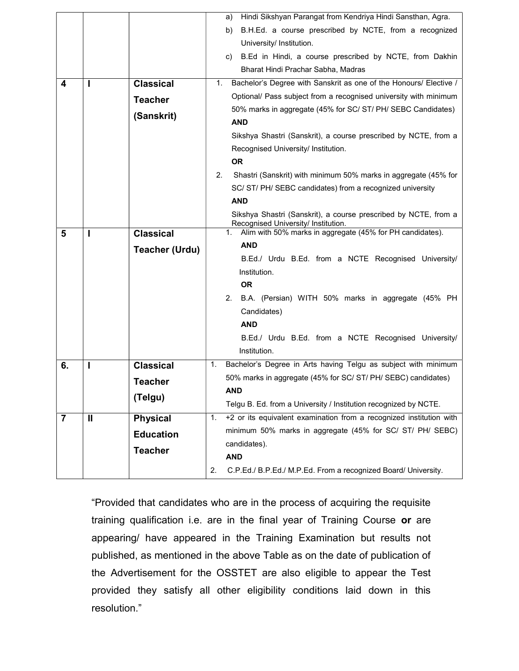|                |               |                       | Hindi Sikshyan Parangat from Kendriya Hindi Sansthan, Agra.<br>a)                                      |  |  |  |  |
|----------------|---------------|-----------------------|--------------------------------------------------------------------------------------------------------|--|--|--|--|
|                |               |                       | B.H.Ed. a course prescribed by NCTE, from a recognized<br>b)                                           |  |  |  |  |
|                |               |                       | University/ Institution.                                                                               |  |  |  |  |
|                |               |                       | B.Ed in Hindi, a course prescribed by NCTE, from Dakhin<br>C)                                          |  |  |  |  |
|                |               |                       | Bharat Hindi Prachar Sabha, Madras                                                                     |  |  |  |  |
| 4              |               | <b>Classical</b>      | Bachelor's Degree with Sanskrit as one of the Honours/ Elective /<br>1.                                |  |  |  |  |
|                |               | <b>Teacher</b>        | Optional/ Pass subject from a recognised university with minimum                                       |  |  |  |  |
|                |               | (Sanskrit)            | 50% marks in aggregate (45% for SC/ ST/ PH/ SEBC Candidates)                                           |  |  |  |  |
|                |               |                       | <b>AND</b>                                                                                             |  |  |  |  |
|                |               |                       | Sikshya Shastri (Sanskrit), a course prescribed by NCTE, from a                                        |  |  |  |  |
|                |               |                       | Recognised University/ Institution.                                                                    |  |  |  |  |
|                |               |                       | <b>OR</b>                                                                                              |  |  |  |  |
|                |               |                       | 2.<br>Shastri (Sanskrit) with minimum 50% marks in aggregate (45% for                                  |  |  |  |  |
|                |               |                       | SC/ ST/ PH/ SEBC candidates) from a recognized university                                              |  |  |  |  |
|                |               |                       | <b>AND</b>                                                                                             |  |  |  |  |
|                |               |                       | Sikshya Shastri (Sanskrit), a course prescribed by NCTE, from a<br>Recognised University/ Institution. |  |  |  |  |
| 5              |               | <b>Classical</b>      | Alim with 50% marks in aggregate (45% for PH candidates).<br>1.                                        |  |  |  |  |
|                |               | <b>Teacher (Urdu)</b> | <b>AND</b>                                                                                             |  |  |  |  |
|                |               |                       | B.Ed./ Urdu B.Ed. from a NCTE Recognised University/                                                   |  |  |  |  |
|                |               |                       | Institution.                                                                                           |  |  |  |  |
|                |               |                       | <b>OR</b>                                                                                              |  |  |  |  |
|                |               |                       | B.A. (Persian) WITH 50% marks in aggregate (45% PH<br>2.                                               |  |  |  |  |
|                |               |                       | Candidates)                                                                                            |  |  |  |  |
|                |               |                       | <b>AND</b>                                                                                             |  |  |  |  |
|                |               |                       | B.Ed./ Urdu B.Ed. from a NCTE Recognised University/                                                   |  |  |  |  |
|                |               |                       | Institution.                                                                                           |  |  |  |  |
| 6.             |               | <b>Classical</b>      | Bachelor's Degree in Arts having Telgu as subject with minimum<br>1.                                   |  |  |  |  |
|                |               | <b>Teacher</b>        | 50% marks in aggregate (45% for SC/ ST/ PH/ SEBC) candidates)                                          |  |  |  |  |
|                |               | (Telgu)               | AND                                                                                                    |  |  |  |  |
|                |               |                       | Telgu B. Ed. from a University / Institution recognized by NCTE.                                       |  |  |  |  |
| $\overline{7}$ | $\mathbf{II}$ | <b>Physical</b>       | +2 or its equivalent examination from a recognized institution with<br>1.                              |  |  |  |  |
|                |               | <b>Education</b>      | minimum 50% marks in aggregate (45% for SC/ ST/ PH/ SEBC)                                              |  |  |  |  |
|                |               | <b>Teacher</b>        | candidates).                                                                                           |  |  |  |  |
|                |               |                       | <b>AND</b>                                                                                             |  |  |  |  |
|                |               |                       | 2.<br>C.P.Ed./ B.P.Ed./ M.P.Ed. From a recognized Board/ University.                                   |  |  |  |  |

"Provided that candidates who are in the process of acquiring the requisite training qualification i.e. are in the final year of Training Course or are appearing/ have appeared in the Training Examination but results not published, as mentioned in the above Table as on the date of publication of the Advertisement for the OSSTET are also eligible to appear the Test provided they satisfy all other eligibility conditions laid down in this resolution."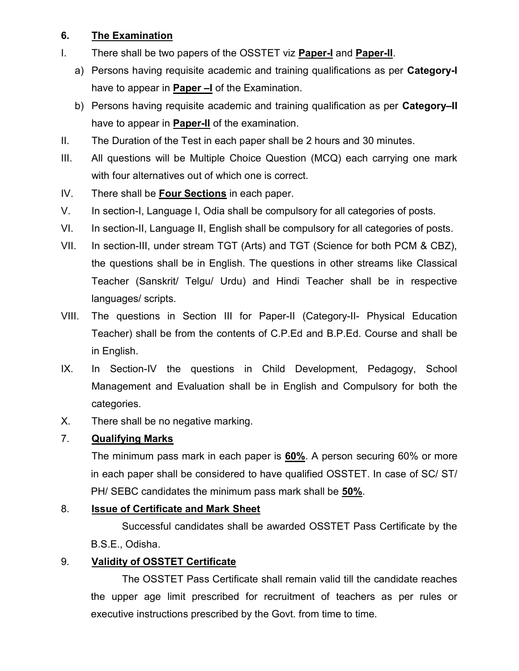# 6. The Examination

- I. There shall be two papers of the OSSTET viz **Paper-I** and **Paper-II**.
	- a) Persons having requisite academic and training qualifications as per **Category-I** have to appear in **Paper –I** of the Examination.
	- b) Persons having requisite academic and training qualification as per **Category–II** have to appear in **Paper-II** of the examination.
- II. The Duration of the Test in each paper shall be 2 hours and 30 minutes.
- III. All questions will be Multiple Choice Question (MCQ) each carrying one mark with four alternatives out of which one is correct.
- IV. There shall be Four Sections in each paper.
- V. In section-I, Language I, Odia shall be compulsory for all categories of posts.
- VI. In section-II, Language II, English shall be compulsory for all categories of posts.
- VII. In section-III, under stream TGT (Arts) and TGT (Science for both PCM & CBZ), the questions shall be in English. The questions in other streams like Classical Teacher (Sanskrit/ Telgu/ Urdu) and Hindi Teacher shall be in respective languages/ scripts.
- VIII. The questions in Section III for Paper-II (Category-II- Physical Education Teacher) shall be from the contents of C.P.Ed and B.P.Ed. Course and shall be in English.
- IX. In Section-IV the questions in Child Development, Pedagogy, School Management and Evaluation shall be in English and Compulsory for both the categories.
- X. There shall be no negative marking.

# 7. Qualifying Marks

The minimum pass mark in each paper is 60%. A person securing 60% or more in each paper shall be considered to have qualified OSSTET. In case of SC/ ST/ PH/ SEBC candidates the minimum pass mark shall be 50%.

# 8. Issue of Certificate and Mark Sheet

 Successful candidates shall be awarded OSSTET Pass Certificate by the B.S.E., Odisha.

# 9. Validity of OSSTET Certificate

 The OSSTET Pass Certificate shall remain valid till the candidate reaches the upper age limit prescribed for recruitment of teachers as per rules or executive instructions prescribed by the Govt. from time to time.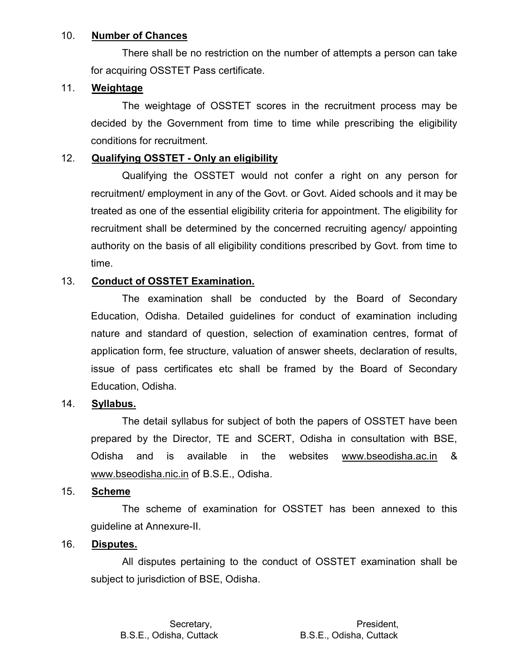#### 10. Number of Chances

 There shall be no restriction on the number of attempts a person can take for acquiring OSSTET Pass certificate.

### 11. Weightage

 The weightage of OSSTET scores in the recruitment process may be decided by the Government from time to time while prescribing the eligibility conditions for recruitment.

## 12. Qualifying OSSTET - Only an eligibility

 Qualifying the OSSTET would not confer a right on any person for recruitment/ employment in any of the Govt. or Govt. Aided schools and it may be treated as one of the essential eligibility criteria for appointment. The eligibility for recruitment shall be determined by the concerned recruiting agency/ appointing authority on the basis of all eligibility conditions prescribed by Govt. from time to time.

# 13. Conduct of OSSTET Examination.

 The examination shall be conducted by the Board of Secondary Education, Odisha. Detailed guidelines for conduct of examination including nature and standard of question, selection of examination centres, format of application form, fee structure, valuation of answer sheets, declaration of results, issue of pass certificates etc shall be framed by the Board of Secondary Education, Odisha.

### 14. Syllabus.

 The detail syllabus for subject of both the papers of OSSTET have been prepared by the Director, TE and SCERT, Odisha in consultation with BSE, Odisha and is available in the websites www.bseodisha.ac.in & www.bseodisha.nic.in of B.S.E., Odisha.

## 15. Scheme

 The scheme of examination for OSSTET has been annexed to this guideline at Annexure-II.

### 16. Disputes.

 All disputes pertaining to the conduct of OSSTET examination shall be subject to jurisdiction of BSE, Odisha.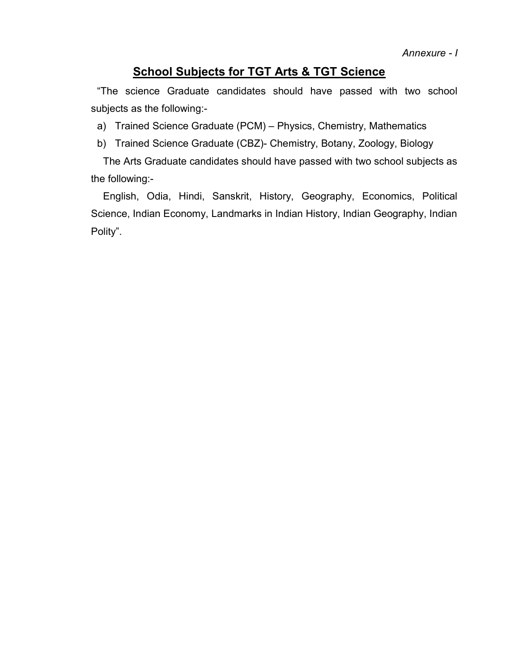# School Subjects for TGT Arts & TGT Science

"The science Graduate candidates should have passed with two school subjects as the following:-

a) Trained Science Graduate (PCM) – Physics, Chemistry, Mathematics

b) Trained Science Graduate (CBZ)- Chemistry, Botany, Zoology, Biology

The Arts Graduate candidates should have passed with two school subjects as the following:-

English, Odia, Hindi, Sanskrit, History, Geography, Economics, Political Science, Indian Economy, Landmarks in Indian History, Indian Geography, Indian Polity".